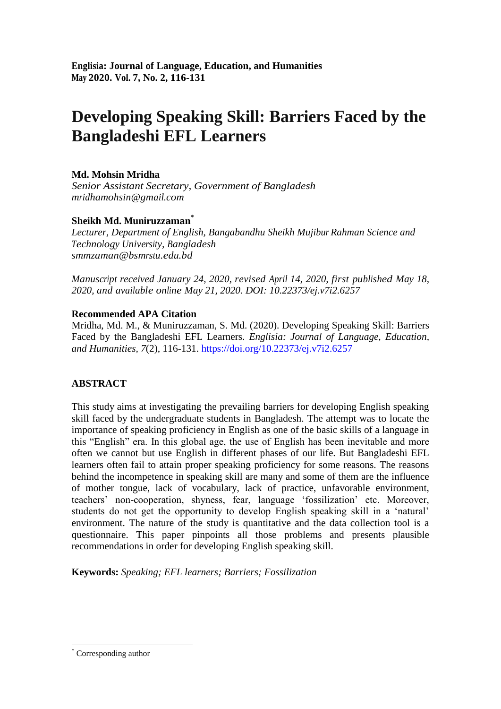# **Developing Speaking Skill: Barriers Faced by the Bangladeshi EFL Learners**

# **Md. Mohsin Mridha**

*Senior Assistant Secretary, Government of Bangladesh [mridhamohsin@gmail.com](mailto:mridhamohsin@gmail.com)*

# **Sheikh Md. Muniruzzaman \***

*Lecturer, Department of English, Bangabandhu Sheikh Mujibur Rahman Science and Technology University, Bangladesh [smmzaman@bsmrstu.edu.bd](mailto:smmzaman@bsmrstu.edu.bd)*

*Manuscript received January 24, 2020, revised April 14, 2020, first published May 18, 2020, and available online May 21, 2020. DOI: [10.22373/ej.v7i2.6257](https://doi.org/10.22373/ej.v7i2.6257)*

# **Recommended APA Citation**

Mridha, Md. M., & Muniruzzaman, S. Md. (2020). Developing Speaking Skill: Barriers Faced by the Bangladeshi EFL Learners. *Englisia: Journal of Language, Education, and Humanities, 7*(2), 116-131.<https://doi.org/10.22373/ej.v7i2.6257>

# **ABSTRACT**

This study aims at investigating the prevailing barriers for developing English speaking skill faced by the undergraduate students in Bangladesh. The attempt was to locate the importance of speaking proficiency in English as one of the basic skills of a language in this "English" era. In this global age, the use of English has been inevitable and more often we cannot but use English in different phases of our life. But Bangladeshi EFL learners often fail to attain proper speaking proficiency for some reasons. The reasons behind the incompetence in speaking skill are many and some of them are the influence of mother tongue, lack of vocabulary, lack of practice, unfavorable environment, teachers" non-cooperation, shyness, fear, language "fossilization" etc. Moreover, students do not get the opportunity to develop English speaking skill in a "natural" environment. The nature of the study is quantitative and the data collection tool is a questionnaire. This paper pinpoints all those problems and presents plausible recommendations in order for developing English speaking skill.

**Keywords:** *Speaking; EFL learners; Barriers; Fossilization*

1

<sup>\*</sup> Corresponding author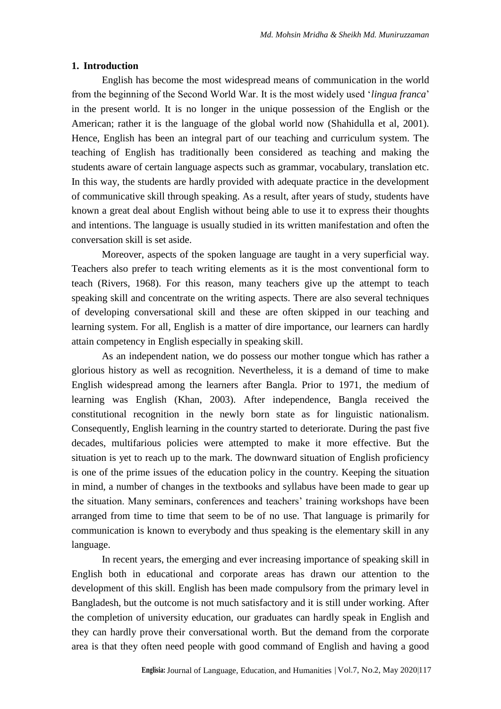#### **1. Introduction**

English has become the most widespread means of communication in the world from the beginning of the Second World War. It is the most widely used "*lingua franca*" in the present world. It is no longer in the unique possession of the English or the American; rather it is the language of the global world now (Shahidulla et al, 2001). Hence, English has been an integral part of our teaching and curriculum system. The teaching of English has traditionally been considered as teaching and making the students aware of certain language aspects such as grammar, vocabulary, translation etc. In this way, the students are hardly provided with adequate practice in the development of communicative skill through speaking. As a result, after years of study, students have known a great deal about English without being able to use it to express their thoughts and intentions. The language is usually studied in its written manifestation and often the conversation skill is set aside.

Moreover, aspects of the spoken language are taught in a very superficial way. Teachers also prefer to teach writing elements as it is the most conventional form to teach (Rivers, 1968). For this reason, many teachers give up the attempt to teach speaking skill and concentrate on the writing aspects. There are also several techniques of developing conversational skill and these are often skipped in our teaching and learning system. For all, English is a matter of dire importance, our learners can hardly attain competency in English especially in speaking skill.

As an independent nation, we do possess our mother tongue which has rather a glorious history as well as recognition. Nevertheless, it is a demand of time to make English widespread among the learners after Bangla. Prior to 1971, the medium of learning was English (Khan, 2003). After independence, Bangla received the constitutional recognition in the newly born state as for linguistic nationalism. Consequently, English learning in the country started to deteriorate. During the past five decades, multifarious policies were attempted to make it more effective. But the situation is yet to reach up to the mark. The downward situation of English proficiency is one of the prime issues of the education policy in the country. Keeping the situation in mind, a number of changes in the textbooks and syllabus have been made to gear up the situation. Many seminars, conferences and teachers' training workshops have been arranged from time to time that seem to be of no use. That language is primarily for communication is known to everybody and thus speaking is the elementary skill in any language.

In recent years, the emerging and ever increasing importance of speaking skill in English both in educational and corporate areas has drawn our attention to the development of this skill. English has been made compulsory from the primary level in Bangladesh, but the outcome is not much satisfactory and it is still under working. After the completion of university education, our graduates can hardly speak in English and they can hardly prove their conversational worth. But the demand from the corporate area is that they often need people with good command of English and having a good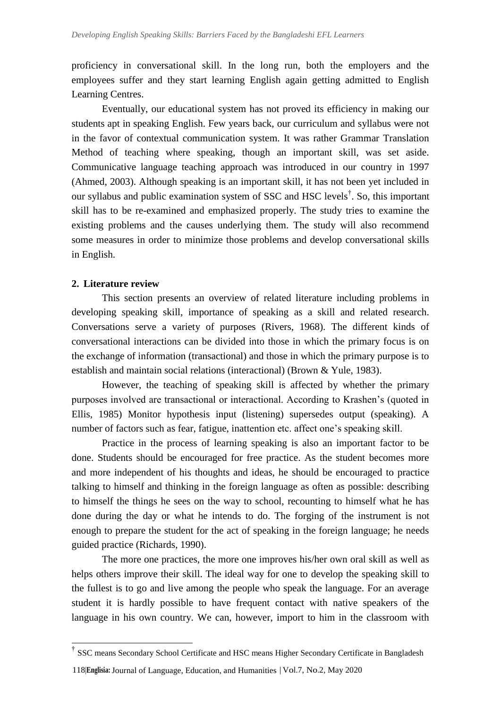proficiency in conversational skill. In the long run, both the employers and the employees suffer and they start learning English again getting admitted to English Learning Centres.

Eventually, our educational system has not proved its efficiency in making our students apt in speaking English. Few years back, our curriculum and syllabus were not in the favor of contextual communication system. It was rather Grammar Translation Method of teaching where speaking, though an important skill, was set aside. Communicative language teaching approach was introduced in our country in 1997 (Ahmed, 2003). Although speaking is an important skill, it has not been yet included in our syllabus and public examination system of SSC and HSC levels† . So, this important skill has to be re-examined and emphasized properly. The study tries to examine the existing problems and the causes underlying them. The study will also recommend some measures in order to minimize those problems and develop conversational skills in English.

### **2. Literature review**

1

This section presents an overview of related literature including problems in developing speaking skill, importance of speaking as a skill and related research. Conversations serve a variety of purposes (Rivers, 1968). The different kinds of conversational interactions can be divided into those in which the primary focus is on the exchange of information (transactional) and those in which the primary purpose is to establish and maintain social relations (interactional) (Brown & Yule, 1983).

However, the teaching of speaking skill is affected by whether the primary purposes involved are transactional or interactional. According to Krashen"s (quoted in Ellis, 1985) Monitor hypothesis input (listening) supersedes output (speaking). A number of factors such as fear, fatigue, inattention etc. affect one"s speaking skill.

Practice in the process of learning speaking is also an important factor to be done. Students should be encouraged for free practice. As the student becomes more and more independent of his thoughts and ideas, he should be encouraged to practice talking to himself and thinking in the foreign language as often as possible: describing to himself the things he sees on the way to school, recounting to himself what he has done during the day or what he intends to do. The forging of the instrument is not enough to prepare the student for the act of speaking in the foreign language; he needs guided practice (Richards, 1990).

The more one practices, the more one improves his/her own oral skill as well as helps others improve their skill. The ideal way for one to develop the speaking skill to the fullest is to go and live among the people who speak the language. For an average student it is hardly possible to have frequent contact with native speakers of the language in his own country. We can, however, import to him in the classroom with

<sup>&</sup>lt;sup>†</sup> SSC means Secondary School Certificate and HSC means Higher Secondary Certificate in Bangladesh

<sup>118|</sup>**Englisia:** Journal of Language, Education, and Humanities **<sup>|</sup>** Vol.7, No.2, May 2020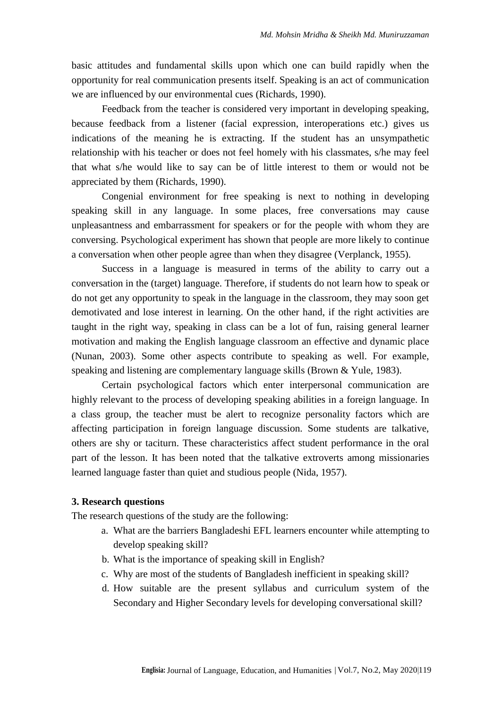basic attitudes and fundamental skills upon which one can build rapidly when the opportunity for real communication presents itself. Speaking is an act of communication we are influenced by our environmental cues (Richards, 1990).

Feedback from the teacher is considered very important in developing speaking, because feedback from a listener (facial expression, interoperations etc.) gives us indications of the meaning he is extracting. If the student has an unsympathetic relationship with his teacher or does not feel homely with his classmates, s/he may feel that what s/he would like to say can be of little interest to them or would not be appreciated by them (Richards, 1990).

Congenial environment for free speaking is next to nothing in developing speaking skill in any language. In some places, free conversations may cause unpleasantness and embarrassment for speakers or for the people with whom they are conversing. Psychological experiment has shown that people are more likely to continue a conversation when other people agree than when they disagree (Verplanck, 1955).

Success in a language is measured in terms of the ability to carry out a conversation in the (target) language. Therefore, if students do not learn how to speak or do not get any opportunity to speak in the language in the classroom, they may soon get demotivated and lose interest in learning. On the other hand, if the right activities are taught in the right way, speaking in class can be a lot of fun, raising general learner motivation and making the English language classroom an effective and dynamic place (Nunan, 2003). Some other aspects contribute to speaking as well. For example, speaking and listening are complementary language skills (Brown & Yule, 1983).

Certain psychological factors which enter interpersonal communication are highly relevant to the process of developing speaking abilities in a foreign language. In a class group, the teacher must be alert to recognize personality factors which are affecting participation in foreign language discussion. Some students are talkative, others are shy or taciturn. These characteristics affect student performance in the oral part of the lesson. It has been noted that the talkative extroverts among missionaries learned language faster than quiet and studious people (Nida, 1957).

# **3. Research questions**

The research questions of the study are the following:

- a. What are the barriers Bangladeshi EFL learners encounter while attempting to develop speaking skill?
- b. What is the importance of speaking skill in English?
- c. Why are most of the students of Bangladesh inefficient in speaking skill?
- d. How suitable are the present syllabus and curriculum system of the Secondary and Higher Secondary levels for developing conversational skill?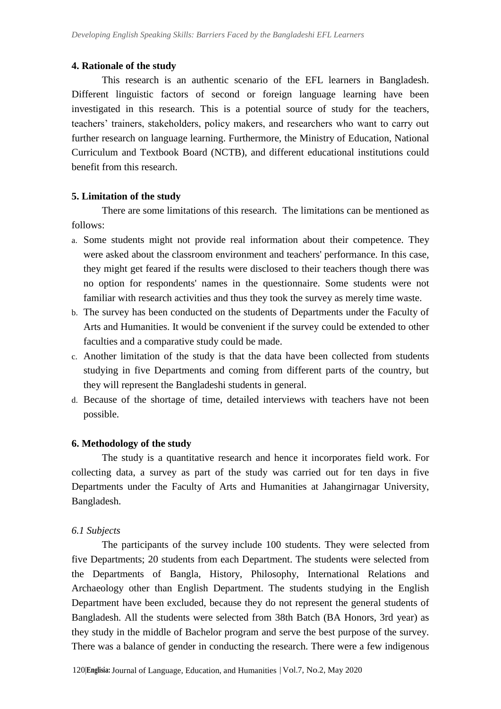### **4. Rationale of the study**

This research is an authentic scenario of the EFL learners in Bangladesh. Different linguistic factors of second or foreign language learning have been investigated in this research. This is a potential source of study for the teachers, teachers" trainers, stakeholders, policy makers, and researchers who want to carry out further research on language learning. Furthermore, the Ministry of Education, National Curriculum and Textbook Board (NCTB), and different educational institutions could benefit from this research.

### **5. Limitation of the study**

There are some limitations of this research. The limitations can be mentioned as follows:

- a. Some students might not provide real information about their competence. They were asked about the classroom environment and teachers' performance. In this case, they might get feared if the results were disclosed to their teachers though there was no option for respondents' names in the questionnaire. Some students were not familiar with research activities and thus they took the survey as merely time waste.
- b. The survey has been conducted on the students of Departments under the Faculty of Arts and Humanities. It would be convenient if the survey could be extended to other faculties and a comparative study could be made.
- c. Another limitation of the study is that the data have been collected from students studying in five Departments and coming from different parts of the country, but they will represent the Bangladeshi students in general.
- d. Because of the shortage of time, detailed interviews with teachers have not been possible.

### **6. Methodology of the study**

The study is a quantitative research and hence it incorporates field work. For collecting data, a survey as part of the study was carried out for ten days in five Departments under the Faculty of Arts and Humanities at Jahangirnagar University, Bangladesh.

### *6.1 Subjects*

The participants of the survey include 100 students. They were selected from five Departments; 20 students from each Department. The students were selected from the Departments of Bangla, History, Philosophy, International Relations and Archaeology other than English Department. The students studying in the English Department have been excluded, because they do not represent the general students of Bangladesh. All the students were selected from 38th Batch (BA Honors, 3rd year) as they study in the middle of Bachelor program and serve the best purpose of the survey. There was a balance of gender in conducting the research. There were a few indigenous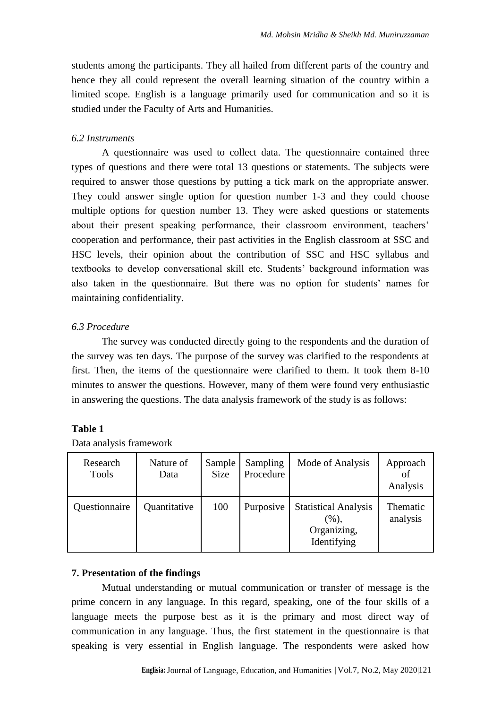students among the participants. They all hailed from different parts of the country and hence they all could represent the overall learning situation of the country within a limited scope. English is a language primarily used for communication and so it is studied under the Faculty of Arts and Humanities.

# *6.2 Instruments*

A questionnaire was used to collect data. The questionnaire contained three types of questions and there were total 13 questions or statements. The subjects were required to answer those questions by putting a tick mark on the appropriate answer. They could answer single option for question number 1-3 and they could choose multiple options for question number 13. They were asked questions or statements about their present speaking performance, their classroom environment, teachers' cooperation and performance, their past activities in the English classroom at SSC and HSC levels, their opinion about the contribution of SSC and HSC syllabus and textbooks to develop conversational skill etc. Students" background information was also taken in the questionnaire. But there was no option for students' names for maintaining confidentiality.

# *6.3 Procedure*

The survey was conducted directly going to the respondents and the duration of the survey was ten days. The purpose of the survey was clarified to the respondents at first. Then, the items of the questionnaire were clarified to them. It took them 8-10 minutes to answer the questions. However, many of them were found very enthusiastic in answering the questions. The data analysis framework of the study is as follows:

# **Table 1**

| Research<br>Tools | Nature of<br>Data | Sample<br>Size | Sampling<br>Procedure | Mode of Analysis                                                     | Approach<br>of<br>Analysis |
|-------------------|-------------------|----------------|-----------------------|----------------------------------------------------------------------|----------------------------|
| Questionnaire     | Quantitative      | 100            | Purposive             | <b>Statistical Analysis</b><br>$(\%),$<br>Organizing,<br>Identifying | Thematic<br>analysis       |

Data analysis framework

# **7. Presentation of the findings**

Mutual understanding or mutual communication or transfer of message is the prime concern in any language. In this regard, speaking, one of the four skills of a language meets the purpose best as it is the primary and most direct way of communication in any language. Thus, the first statement in the questionnaire is that speaking is very essential in English language. The respondents were asked how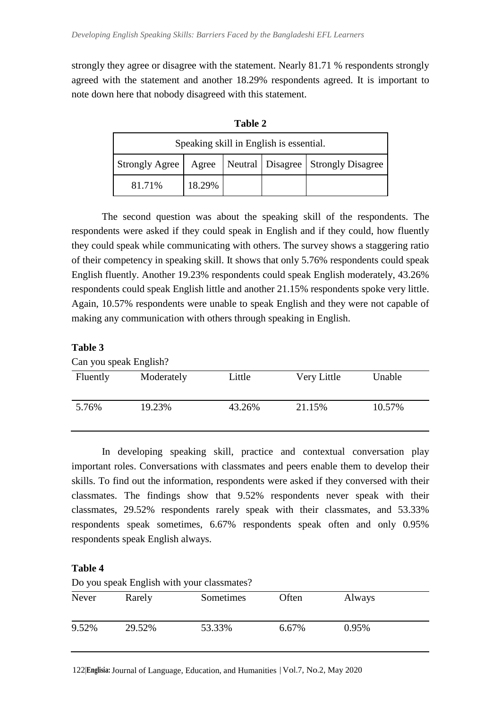strongly they agree or disagree with the statement. Nearly 81.71 % respondents strongly agreed with the statement and another 18.29% respondents agreed. It is important to note down here that nobody disagreed with this statement.

| Speaking skill in English is essential. |        |  |  |                                                                 |  |  |  |
|-----------------------------------------|--------|--|--|-----------------------------------------------------------------|--|--|--|
|                                         |        |  |  | Strongly Agree   Agree   Neutral   Disagree   Strongly Disagree |  |  |  |
| 81.71%                                  | 18.29% |  |  |                                                                 |  |  |  |

**Table 2**

| 81.71%                                                                                   | 18.29% |  |  |  |
|------------------------------------------------------------------------------------------|--------|--|--|--|
|                                                                                          |        |  |  |  |
| The second question was about the speaking skill of the respondents. The                 |        |  |  |  |
| respondents were asked if they could speak in English and if they could, how fluently    |        |  |  |  |
| they could speak while communicating with others. The survey shows a staggering ratio    |        |  |  |  |
| of their competency in speaking skill. It shows that only 5.76% respondents could speak  |        |  |  |  |
| English fluently. Another 19.23% respondents could speak English moderately, 43.26%      |        |  |  |  |
| respondents could speak English little and another 21.15% respondents spoke very little. |        |  |  |  |
| Again, 10.57% respondents were unable to speak English and they were not capable of      |        |  |  |  |

**Table 3**

| Can you speak English? |            |        |             |        |  |  |  |
|------------------------|------------|--------|-------------|--------|--|--|--|
| Fluently               | Moderately | Little | Very Little | Unable |  |  |  |
|                        |            |        |             |        |  |  |  |
| 5.76%                  | 19.23%     | 43.26% | 21.15%      | 10.57% |  |  |  |
|                        |            |        |             |        |  |  |  |

making any communication with others through speaking in English.

In developing speaking skill, practice and contextual conversation play important roles. Conversations with classmates and peers enable them to develop their skills. To find out the information, respondents were asked if they conversed with their classmates. The findings show that 9.52% respondents never speak with their classmates, 29.52% respondents rarely speak with their classmates, and 53.33% respondents speak sometimes, 6.67% respondents speak often and only 0.95% respondents speak English always.

# **Table 4**

Do you speak English with your classmates?

| Never | Rarely | Sometimes | Often | Always |  |
|-------|--------|-----------|-------|--------|--|
| 9.52% | 29.52% | 53.33%    | 6.67% | 0.95%  |  |

122|**Englisia:** Journal of Language, Education, and Humanities **<sup>|</sup>** Vol.7, No.2, May 2020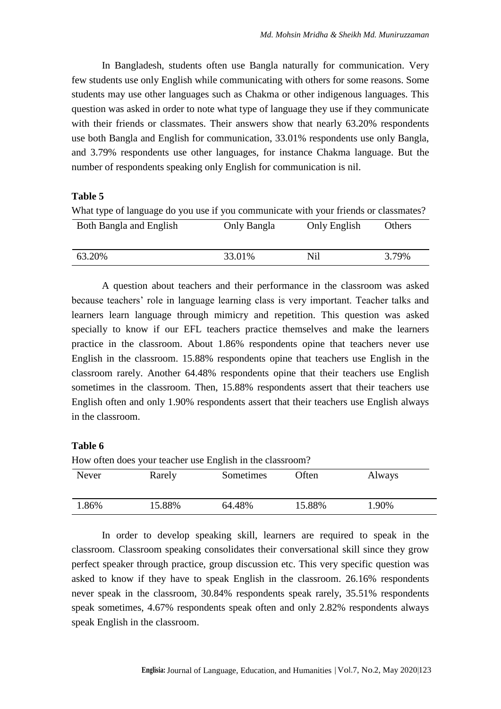In Bangladesh, students often use Bangla naturally for communication. Very few students use only English while communicating with others for some reasons. Some students may use other languages such as Chakma or other indigenous languages. This question was asked in order to note what type of language they use if they communicate with their friends or classmates. Their answers show that nearly 63.20% respondents use both Bangla and English for communication, 33.01% respondents use only Bangla, and 3.79% respondents use other languages, for instance Chakma language. But the number of respondents speaking only English for communication is nil.

### **Table 5**

What type of language do you use if you communicate with your friends or classmates? Both Bangla and English Only Bangla Only English Others

| 63.20% | 33.01% | Nil | 3.79% |
|--------|--------|-----|-------|

A question about teachers and their performance in the classroom was asked because teachers" role in language learning class is very important. Teacher talks and learners learn language through mimicry and repetition. This question was asked specially to know if our EFL teachers practice themselves and make the learners practice in the classroom. About 1.86% respondents opine that teachers never use English in the classroom. 15.88% respondents opine that teachers use English in the classroom rarely. Another 64.48% respondents opine that their teachers use English sometimes in the classroom. Then, 15.88% respondents assert that their teachers use English often and only 1.90% respondents assert that their teachers use English always in the classroom.

### **Table 6**

| How often does your teacher use English in the classroom? |        |           |        |        |  |  |  |
|-----------------------------------------------------------|--------|-----------|--------|--------|--|--|--|
| Never                                                     | Rarely | Sometimes | Often  | Always |  |  |  |
| 1.86%                                                     | 15.88% | 64.48%    | 15.88% | 1.90%  |  |  |  |

In order to develop speaking skill, learners are required to speak in the classroom. Classroom speaking consolidates their conversational skill since they grow perfect speaker through practice, group discussion etc. This very specific question was asked to know if they have to speak English in the classroom. 26.16% respondents never speak in the classroom, 30.84% respondents speak rarely, 35.51% respondents speak sometimes, 4.67% respondents speak often and only 2.82% respondents always speak English in the classroom.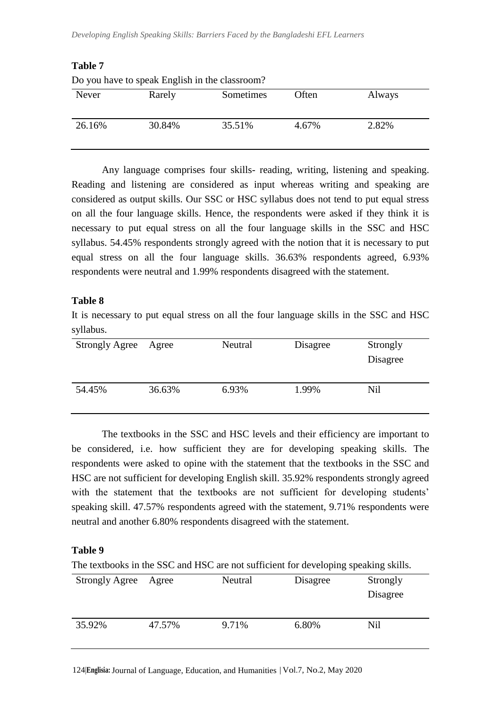| Never  | Rarely | Sometimes | Often | Always |
|--------|--------|-----------|-------|--------|
| 26.16% | 30.84% | 35.51%    | 4.67% | 2.82%  |

| <b>Table 7</b>                                 |  |
|------------------------------------------------|--|
| Do you have to speak English in the classroom. |  |

Any language comprises four skills- reading, writing, listening and speaking. Reading and listening are considered as input whereas writing and speaking are considered as output skills. Our SSC or HSC syllabus does not tend to put equal stress on all the four language skills. Hence, the respondents were asked if they think it is necessary to put equal stress on all the four language skills in the SSC and HSC syllabus. 54.45% respondents strongly agreed with the notion that it is necessary to put equal stress on all the four language skills. 36.63% respondents agreed, 6.93% respondents were neutral and 1.99% respondents disagreed with the statement.

# **Table 8**

It is necessary to put equal stress on all the four language skills in the SSC and HSC syllabus.

| <b>Strongly Agree</b> | Agree  | Neutral | Disagree | Strongly<br>Disagree |
|-----------------------|--------|---------|----------|----------------------|
| 54.45%                | 36.63% | 6.93%   | 1.99%    | Nil                  |

The textbooks in the SSC and HSC levels and their efficiency are important to be considered, i.e. how sufficient they are for developing speaking skills. The respondents were asked to opine with the statement that the textbooks in the SSC and HSC are not sufficient for developing English skill. 35.92% respondents strongly agreed with the statement that the textbooks are not sufficient for developing students' speaking skill. 47.57% respondents agreed with the statement, 9.71% respondents were neutral and another 6.80% respondents disagreed with the statement.

# **Table 9**

The textbooks in the SSC and HSC are not sufficient for developing speaking skills.

| <b>Strongly Agree</b> | Agree  | Neutral<br>Disagree |       | Strongly<br>Disagree |
|-----------------------|--------|---------------------|-------|----------------------|
|                       |        |                     |       |                      |
| 35.92%                | 47.57% | 9.71%               | 6.80% | Nil                  |

124|**Englisia:** Journal of Language, Education, and Humanities **<sup>|</sup>** Vol.7, No.2, May 2020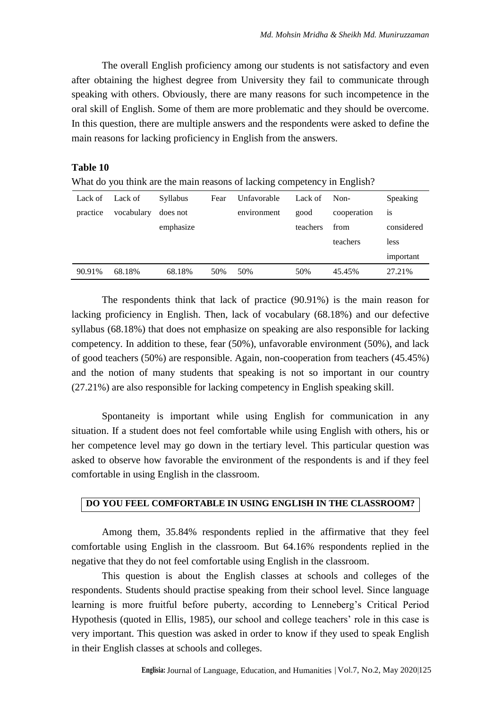The overall English proficiency among our students is not satisfactory and even after obtaining the highest degree from University they fail to communicate through speaking with others. Obviously, there are many reasons for such incompetence in the oral skill of English. Some of them are more problematic and they should be overcome. In this question, there are multiple answers and the respondents were asked to define the main reasons for lacking proficiency in English from the answers.

### **Table 10**

What do you think are the main reasons of lacking competency in English?

| Lack of  | Lack of    | Syllabus  | Fear | Unfavorable | Lack of  | Non-        | Speaking       |
|----------|------------|-----------|------|-------------|----------|-------------|----------------|
| practice | vocabulary | does not  |      | environment | good     | cooperation | <sup>1</sup> S |
|          |            | emphasize |      |             | teachers | from        | considered     |
|          |            |           |      |             |          | teachers    | less           |
|          |            |           |      |             |          |             | important      |
| 90.91%   | 68.18%     | 68.18%    | 50%  | 50%         | 50%      | 45.45%      | 27.21%         |

The respondents think that lack of practice (90.91%) is the main reason for lacking proficiency in English. Then, lack of vocabulary (68.18%) and our defective syllabus (68.18%) that does not emphasize on speaking are also responsible for lacking competency. In addition to these, fear (50%), unfavorable environment (50%), and lack of good teachers (50%) are responsible. Again, non-cooperation from teachers (45.45%) and the notion of many students that speaking is not so important in our country (27.21%) are also responsible for lacking competency in English speaking skill.

Spontaneity is important while using English for communication in any situation. If a student does not feel comfortable while using English with others, his or her competence level may go down in the tertiary level. This particular question was asked to observe how favorable the environment of the respondents is and if they feel comfortable in using English in the classroom.

### **DO YOU FEEL COMFORTABLE IN USING ENGLISH IN THE CLASSROOM?**

Among them, 35.84% respondents replied in the affirmative that they feel comfortable using English in the classroom. But 64.16% respondents replied in the negative that they do not feel comfortable using English in the classroom.

This question is about the English classes at schools and colleges of the respondents. Students should practise speaking from their school level. Since language learning is more fruitful before puberty, according to Lenneberg's Critical Period Hypothesis (quoted in Ellis, 1985), our school and college teachers' role in this case is very important. This question was asked in order to know if they used to speak English in their English classes at schools and colleges.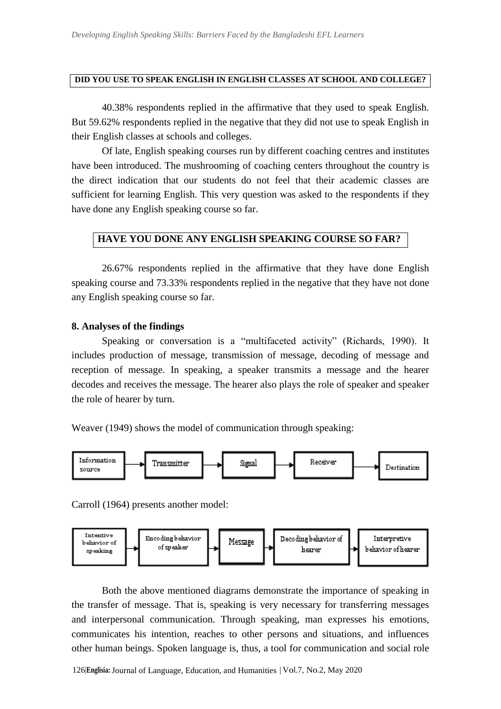### **DID YOU USE TO SPEAK ENGLISH IN ENGLISH CLASSES AT SCHOOL AND COLLEGE?**

40.38% respondents replied in the affirmative that they used to speak English. But 59.62% respondents replied in the negative that they did not use to speak English in their English classes at schools and colleges.

Of late, English speaking courses run by different coaching centres and institutes have been introduced. The mushrooming of coaching centers throughout the country is the direct indication that our students do not feel that their academic classes are sufficient for learning English. This very question was asked to the respondents if they have done any English speaking course so far.

# **HAVE YOU DONE ANY ENGLISH SPEAKING COURSE SO FAR?**

26.67% respondents replied in the affirmative that they have done English speaking course and 73.33% respondents replied in the negative that they have not done any English speaking course so far.

#### **8. Analyses of the findings**

Speaking or conversation is a "multifaceted activity" (Richards, 1990). It includes production of message, transmission of message, decoding of message and reception of message. In speaking, a speaker transmits a message and the hearer decodes and receives the message. The hearer also plays the role of speaker and speaker the role of hearer by turn.

Weaver (1949) shows the model of communication through speaking:



Carroll (1964) presents another model:



Both the above mentioned diagrams demonstrate the importance of speaking in the transfer of message. That is, speaking is very necessary for transferring messages and interpersonal communication. Through speaking, man expresses his emotions, communicates his intention, reaches to other persons and situations, and influences other human beings. Spoken language is, thus, a tool for communication and social role

126|**Englisia:** Journal of Language, Education, and Humanities **<sup>|</sup>** Vol.7, No.2, May 2020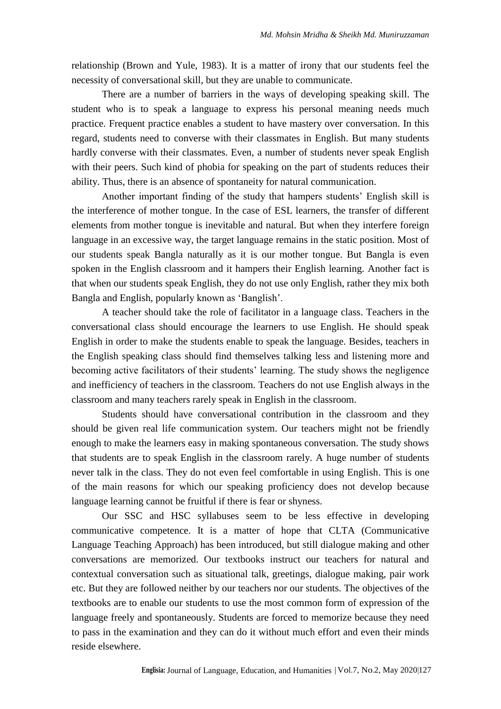relationship (Brown and Yule, 1983). It is a matter of irony that our students feel the necessity of conversational skill, but they are unable to communicate.

There are a number of barriers in the ways of developing speaking skill. The student who is to speak a language to express his personal meaning needs much practice. Frequent practice enables a student to have mastery over conversation. In this regard, students need to converse with their classmates in English. But many students hardly converse with their classmates. Even, a number of students never speak English with their peers. Such kind of phobia for speaking on the part of students reduces their ability. Thus, there is an absence of spontaneity for natural communication.

Another important finding of the study that hampers students" English skill is the interference of mother tongue. In the case of ESL learners, the transfer of different elements from mother tongue is inevitable and natural. But when they interfere foreign language in an excessive way, the target language remains in the static position. Most of our students speak Bangla naturally as it is our mother tongue. But Bangla is even spoken in the English classroom and it hampers their English learning. Another fact is that when our students speak English, they do not use only English, rather they mix both Bangla and English, popularly known as "Banglish".

A teacher should take the role of facilitator in a language class. Teachers in the conversational class should encourage the learners to use English. He should speak English in order to make the students enable to speak the language. Besides, teachers in the English speaking class should find themselves talking less and listening more and becoming active facilitators of their students' learning. The study shows the negligence and inefficiency of teachers in the classroom. Teachers do not use English always in the classroom and many teachers rarely speak in English in the classroom.

Students should have conversational contribution in the classroom and they should be given real life communication system. Our teachers might not be friendly enough to make the learners easy in making spontaneous conversation. The study shows that students are to speak English in the classroom rarely. A huge number of students never talk in the class. They do not even feel comfortable in using English. This is one of the main reasons for which our speaking proficiency does not develop because language learning cannot be fruitful if there is fear or shyness.

Our SSC and HSC syllabuses seem to be less effective in developing communicative competence. It is a matter of hope that CLTA (Communicative Language Teaching Approach) has been introduced, but still dialogue making and other conversations are memorized. Our textbooks instruct our teachers for natural and contextual conversation such as situational talk, greetings, dialogue making, pair work etc. But they are followed neither by our teachers nor our students. The objectives of the textbooks are to enable our students to use the most common form of expression of the language freely and spontaneously. Students are forced to memorize because they need to pass in the examination and they can do it without much effort and even their minds reside elsewhere.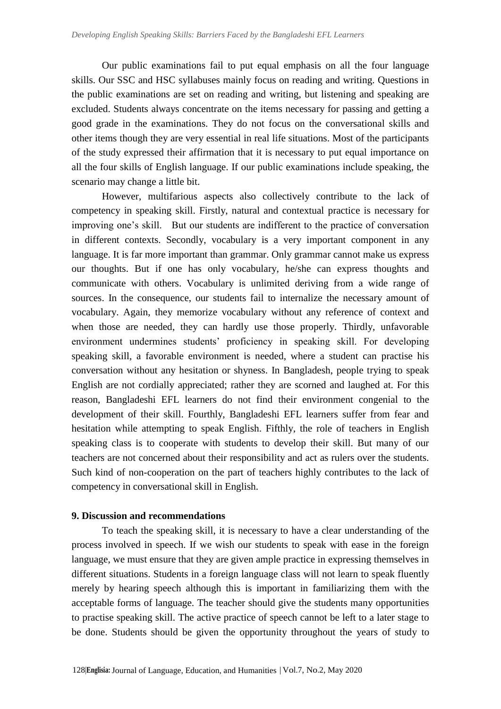Our public examinations fail to put equal emphasis on all the four language skills. Our SSC and HSC syllabuses mainly focus on reading and writing. Questions in the public examinations are set on reading and writing, but listening and speaking are excluded. Students always concentrate on the items necessary for passing and getting a good grade in the examinations. They do not focus on the conversational skills and other items though they are very essential in real life situations. Most of the participants of the study expressed their affirmation that it is necessary to put equal importance on all the four skills of English language. If our public examinations include speaking, the scenario may change a little bit.

However, multifarious aspects also collectively contribute to the lack of competency in speaking skill. Firstly, natural and contextual practice is necessary for improving one"s skill. But our students are indifferent to the practice of conversation in different contexts. Secondly, vocabulary is a very important component in any language. It is far more important than grammar. Only grammar cannot make us express our thoughts. But if one has only vocabulary, he/she can express thoughts and communicate with others. Vocabulary is unlimited deriving from a wide range of sources. In the consequence, our students fail to internalize the necessary amount of vocabulary. Again, they memorize vocabulary without any reference of context and when those are needed, they can hardly use those properly. Thirdly, unfavorable environment undermines students' proficiency in speaking skill. For developing speaking skill, a favorable environment is needed, where a student can practise his conversation without any hesitation or shyness. In Bangladesh, people trying to speak English are not cordially appreciated; rather they are scorned and laughed at. For this reason, Bangladeshi EFL learners do not find their environment congenial to the development of their skill. Fourthly, Bangladeshi EFL learners suffer from fear and hesitation while attempting to speak English. Fifthly, the role of teachers in English speaking class is to cooperate with students to develop their skill. But many of our teachers are not concerned about their responsibility and act as rulers over the students. Such kind of non-cooperation on the part of teachers highly contributes to the lack of competency in conversational skill in English.

### **9. Discussion and recommendations**

To teach the speaking skill, it is necessary to have a clear understanding of the process involved in speech. If we wish our students to speak with ease in the foreign language, we must ensure that they are given ample practice in expressing themselves in different situations. Students in a foreign language class will not learn to speak fluently merely by hearing speech although this is important in familiarizing them with the acceptable forms of language. The teacher should give the students many opportunities to practise speaking skill. The active practice of speech cannot be left to a later stage to be done. Students should be given the opportunity throughout the years of study to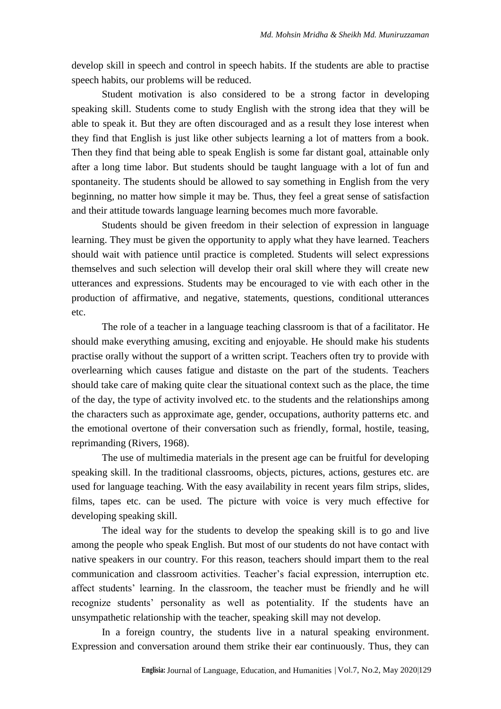develop skill in speech and control in speech habits. If the students are able to practise speech habits, our problems will be reduced.

Student motivation is also considered to be a strong factor in developing speaking skill. Students come to study English with the strong idea that they will be able to speak it. But they are often discouraged and as a result they lose interest when they find that English is just like other subjects learning a lot of matters from a book. Then they find that being able to speak English is some far distant goal, attainable only after a long time labor. But students should be taught language with a lot of fun and spontaneity. The students should be allowed to say something in English from the very beginning, no matter how simple it may be. Thus, they feel a great sense of satisfaction and their attitude towards language learning becomes much more favorable.

Students should be given freedom in their selection of expression in language learning. They must be given the opportunity to apply what they have learned. Teachers should wait with patience until practice is completed. Students will select expressions themselves and such selection will develop their oral skill where they will create new utterances and expressions. Students may be encouraged to vie with each other in the production of affirmative, and negative, statements, questions, conditional utterances etc.

The role of a teacher in a language teaching classroom is that of a facilitator. He should make everything amusing, exciting and enjoyable. He should make his students practise orally without the support of a written script. Teachers often try to provide with overlearning which causes fatigue and distaste on the part of the students. Teachers should take care of making quite clear the situational context such as the place, the time of the day, the type of activity involved etc. to the students and the relationships among the characters such as approximate age, gender, occupations, authority patterns etc. and the emotional overtone of their conversation such as friendly, formal, hostile, teasing, reprimanding (Rivers, 1968).

The use of multimedia materials in the present age can be fruitful for developing speaking skill. In the traditional classrooms, objects, pictures, actions, gestures etc. are used for language teaching. With the easy availability in recent years film strips, slides, films, tapes etc. can be used. The picture with voice is very much effective for developing speaking skill.

The ideal way for the students to develop the speaking skill is to go and live among the people who speak English. But most of our students do not have contact with native speakers in our country. For this reason, teachers should impart them to the real communication and classroom activities. Teacher"s facial expression, interruption etc. affect students" learning. In the classroom, the teacher must be friendly and he will recognize students" personality as well as potentiality. If the students have an unsympathetic relationship with the teacher, speaking skill may not develop.

In a foreign country, the students live in a natural speaking environment. Expression and conversation around them strike their ear continuously. Thus, they can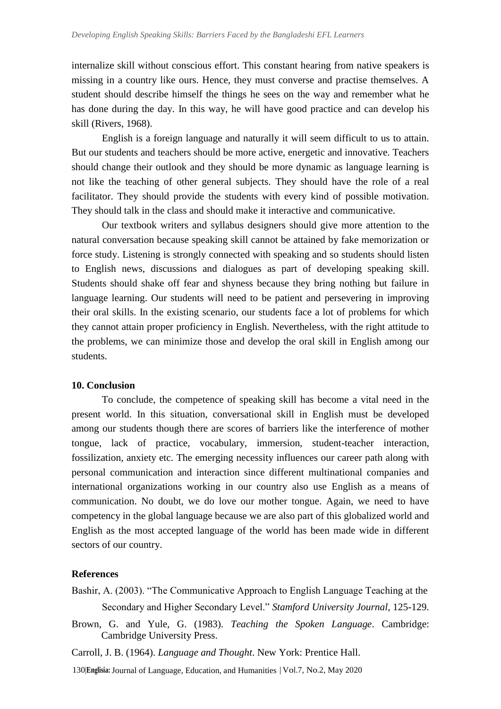internalize skill without conscious effort. This constant hearing from native speakers is missing in a country like ours. Hence, they must converse and practise themselves. A student should describe himself the things he sees on the way and remember what he has done during the day. In this way, he will have good practice and can develop his skill (Rivers, 1968).

English is a foreign language and naturally it will seem difficult to us to attain. But our students and teachers should be more active, energetic and innovative. Teachers should change their outlook and they should be more dynamic as language learning is not like the teaching of other general subjects. They should have the role of a real facilitator. They should provide the students with every kind of possible motivation. They should talk in the class and should make it interactive and communicative.

Our textbook writers and syllabus designers should give more attention to the natural conversation because speaking skill cannot be attained by fake memorization or force study. Listening is strongly connected with speaking and so students should listen to English news, discussions and dialogues as part of developing speaking skill. Students should shake off fear and shyness because they bring nothing but failure in language learning. Our students will need to be patient and persevering in improving their oral skills. In the existing scenario, our students face a lot of problems for which they cannot attain proper proficiency in English. Nevertheless, with the right attitude to the problems, we can minimize those and develop the oral skill in English among our students.

### **10. Conclusion**

To conclude, the competence of speaking skill has become a vital need in the present world. In this situation, conversational skill in English must be developed among our students though there are scores of barriers like the interference of mother tongue, lack of practice, vocabulary, immersion, student-teacher interaction, fossilization, anxiety etc. The emerging necessity influences our career path along with personal communication and interaction since different multinational companies and international organizations working in our country also use English as a means of communication. No doubt, we do love our mother tongue. Again, we need to have competency in the global language because we are also part of this globalized world and English as the most accepted language of the world has been made wide in different sectors of our country.

#### **References**

- Bashir, A. (2003). "The Communicative Approach to English Language Teaching at the Secondary and Higher Secondary Level." *Stamford University Journal*, 125-129.
- Brown, G. and Yule, G. (1983). *Teaching the Spoken Language*. Cambridge: Cambridge University Press.
- Carroll, J. B. (1964). *Language and Thought*. New York: Prentice Hall.
- 130|**Englisia:** Journal of Language, Education, and Humanities **<sup>|</sup>** Vol.7, No.2, May 2020